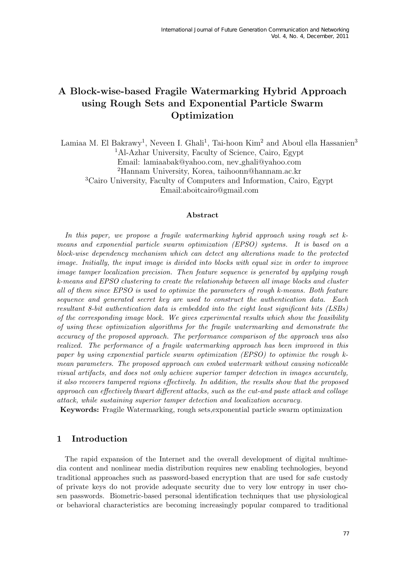# A Block-wise-based Fragile Watermarking Hybrid Approach using Rough Sets and Exponential Particle Swarm Optimization

Lamiaa M. El Bakrawy<sup>1</sup>, Neveen I. Ghali<sup>1</sup>, Tai-hoon Kim<sup>2</sup> and Aboul ella Hassanien<sup>3</sup> <sup>1</sup>Al-Azhar University, Faculty of Science, Cairo, Egypt Email: lamiaabak@yahoo.com, nev ghali@yahoo.com <sup>2</sup>Hannam University, Korea, taihoonn@hannam.ac.kr <sup>3</sup>Cairo University, Faculty of Computers and Information, Cairo, Egypt Email:aboitcairo@gmail.com

#### Abstract

In this paper, we propose a fragile watermarking hybrid approach using rough set  $k$ means and exponential particle swarm optimization (EPSO) systems. It is based on a block-wise dependency mechanism which can detect any alterations made to the protected image. Initially, the input image is divided into blocks with equal size in order to improve image tamper localization precision. Then feature sequence is generated by applying rough k-means and EPSO clustering to create the relationship between all image blocks and cluster all of them since EPSO is used to optimize the parameters of rough k-means. Both feature sequence and generated secret key are used to construct the authentication data. Each resultant 8-bit authentication data is embedded into the eight least significant bits (LSBs) of the corresponding image block. We gives experimental results which show the feasibility of using these optimization algorithms for the fragile watermarking and demonstrate the accuracy of the proposed approach. The performance comparison of the approach was also realized. The performance of a fragile watermarking approach has been improved in this paper by using exponential particle swarm optimization (EPSO) to optimize the rough kmean parameters. The proposed approach can embed watermark without causing noticeable visual artifacts, and does not only achieve superior tamper detection in images accurately, it also recovers tampered regions effectively. In addition, the results show that the proposed approach can effectively thwart different attacks, such as the cut-and paste attack and collage attack, while sustaining superior tamper detection and localization accuracy.

Keywords: Fragile Watermarking, rough sets,exponential particle swarm optimization

### 1 Introduction

The rapid expansion of the Internet and the overall development of digital multimedia content and nonlinear media distribution requires new enabling technologies, beyond traditional approaches such as password-based encryption that are used for safe custody of private keys do not provide adequate security due to very low entropy in user chosen passwords. Biometric-based personal identification techniques that use physiological or behavioral characteristics are becoming increasingly popular compared to traditional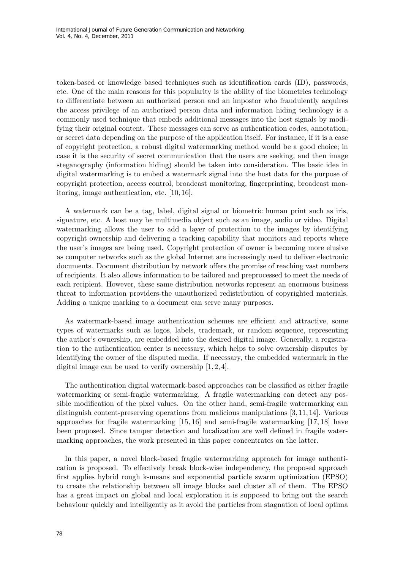token-based or knowledge based techniques such as identification cards (ID), passwords, etc. One of the main reasons for this popularity is the ability of the biometrics technology to differentiate between an authorized person and an impostor who fraudulently acquires the access privilege of an authorized person data and information hiding technology is a commonly used technique that embeds additional messages into the host signals by modifying their original content. These messages can serve as authentication codes, annotation, or secret data depending on the purpose of the application itself. For instance, if it is a case of copyright protection, a robust digital watermarking method would be a good choice; in case it is the security of secret communication that the users are seeking, and then image steganography (information hiding) should be taken into consideration. The basic idea in digital watermarking is to embed a watermark signal into the host data for the purpose of copyright protection, access control, broadcast monitoring, fingerprinting, broadcast monitoring, image authentication, etc. [10, 16].

A watermark can be a tag, label, digital signal or biometric human print such as iris, signature, etc. A host may be multimedia object such as an image, audio or video. Digital watermarking allows the user to add a layer of protection to the images by identifying copyright ownership and delivering a tracking capability that monitors and reports where the user's images are being used. Copyright protection of owner is becoming more elusive as computer networks such as the global Internet are increasingly used to deliver electronic documents. Document distribution by network offers the promise of reaching vast numbers of recipients. It also allows information to be tailored and preprocessed to meet the needs of each recipient. However, these same distribution networks represent an enormous business threat to information providers-the unauthorized redistribution of copyrighted materials. Adding a unique marking to a document can serve many purposes.

As watermark-based image authentication schemes are efficient and attractive, some types of watermarks such as logos, labels, trademark, or random sequence, representing the author's ownership, are embedded into the desired digital image. Generally, a registration to the authentication center is necessary, which helps to solve ownership disputes by identifying the owner of the disputed media. If necessary, the embedded watermark in the digital image can be used to verify ownership  $[1, 2, 4]$ .

The authentication digital watermark-based approaches can be classified as either fragile watermarking or semi-fragile watermarking. A fragile watermarking can detect any possible modification of the pixel values. On the other hand, semi-fragile watermarking can distinguish content-preserving operations from malicious manipulations [3, 11, 14]. Various approaches for fragile watermarking [15, 16] and semi-fragile watermarking [17, 18] have been proposed. Since tamper detection and localization are well defined in fragile watermarking approaches, the work presented in this paper concentrates on the latter.

In this paper, a novel block-based fragile watermarking approach for image authentication is proposed. To effectively break block-wise independency, the proposed approach first applies hybrid rough k-means and exponential particle swarm optimization (EPSO) to create the relationship between all image blocks and cluster all of them. The EPSO has a great impact on global and local exploration it is supposed to bring out the search behaviour quickly and intelligently as it avoid the particles from stagnation of local optima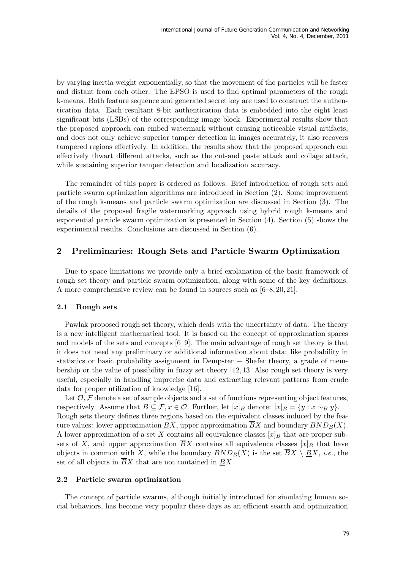by varying inertia weight exponentially, so that the movement of the particles will be faster and distant from each other. The EPSO is used to find optimal parameters of the rough k-means. Both feature sequence and generated secret key are used to construct the authentication data. Each resultant 8-bit authentication data is embedded into the eight least significant bits (LSBs) of the corresponding image block. Experimental results show that the proposed approach can embed watermark without causing noticeable visual artifacts, and does not only achieve superior tamper detection in images accurately, it also recovers tampered regions effectively. In addition, the results show that the proposed approach can effectively thwart different attacks, such as the cut-and paste attack and collage attack, while sustaining superior tamper detection and localization accuracy.

The remainder of this paper is ordered as follows. Brief introduction of rough sets and particle swarm optimization algorithms are introduced in Section (2). Some improvement of the rough k-means and particle swarm optimization are discussed in Section (3). The details of the proposed fragile watermarking approach using hybrid rough k-means and exponential particle swarm optimization is presented in Section (4). Section (5) shows the experimental results. Conclusions are discussed in Section (6).

# 2 Preliminaries: Rough Sets and Particle Swarm Optimization

Due to space limitations we provide only a brief explanation of the basic framework of rough set theory and particle swarm optimization, along with some of the key definitions. A more comprehensive review can be found in sources such as [6–8, 20, 21].

### 2.1 Rough sets

Pawlak proposed rough set theory, which deals with the uncertainty of data. The theory is a new intelligent mathematical tool. It is based on the concept of approximation spaces and models of the sets and concepts [6–9]. The main advantage of rough set theory is that it does not need any preliminary or additional information about data: like probability in statistics or basic probability assignment in Dempster − Shafer theory, a grade of membership or the value of possibility in fuzzy set theory [12, 13] Also rough set theory is very useful, especially in handling imprecise data and extracting relevant patterns from crude data for proper utilization of knowledge [16].

Let  $\mathcal{O}, \mathcal{F}$  denote a set of sample objects and a set of functions representing object features, respectively. Assume that  $B \subseteq \mathcal{F}, x \in \mathcal{O}$ . Further, let  $[x]_B$  denote:  $[x]_B = \{y : x \sim_B y\}.$ Rough sets theory defines three regions based on the equivalent classes induced by the feature values: lower approximation BX, upper approximation  $\overline{BX}$  and boundary  $BND_B(X)$ . A lower approximation of a set X contains all equivalence classes  $[x]_B$  that are proper subsets of X, and upper approximation  $\overline{B}X$  contains all equivalence classes  $[x]_B$  that have objects in common with X, while the boundary  $BND_B(X)$  is the set  $\overline{B}X \setminus \underline{B}X$ , *i.e.*, the set of all objects in  $\overline{B}X$  that are not contained in  $\underline{B}X$ .

### 2.2 Particle swarm optimization

The concept of particle swarms, although initially introduced for simulating human social behaviors, has become very popular these days as an efficient search and optimization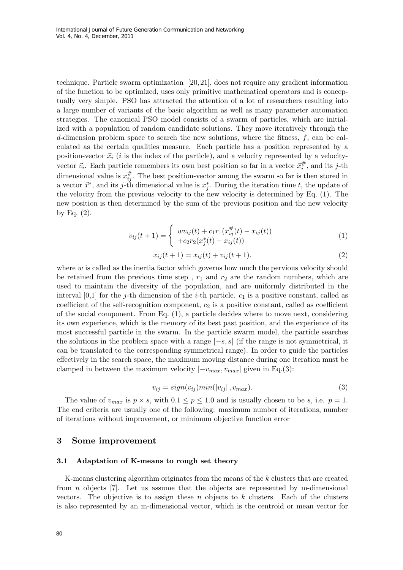technique. Particle swarm optimization [20, 21], does not require any gradient information of the function to be optimized, uses only primitive mathematical operators and is conceptually very simple. PSO has attracted the attention of a lot of researchers resulting into a large number of variants of the basic algorithm as well as many parameter automation strategies. The canonical PSO model consists of a swarm of particles, which are initialized with a population of random candidate solutions. They move iteratively through the d-dimension problem space to search the new solutions, where the fitness,  $f$ , can be calculated as the certain qualities measure. Each particle has a position represented by a position-vector  $\vec{x}_i$  (*i* is the index of the particle), and a velocity represented by a velocityvector  $\vec{v}_i$ . Each particle remembers its own best position so far in a vector  $\vec{x}_i^{\#}$ , and its j-th dimensional value is  $x_{ij}^{\#}$ . The best position-vector among the swarm so far is then stored in a vector  $\vec{x}^*$ , and its j-th dimensional value is  $x_j^*$ . During the iteration time t, the update of the velocity from the previous velocity to the new velocity is determined by Eq. (1). The new position is then determined by the sum of the previous position and the new velocity by Eq.  $(2)$ .

$$
v_{ij}(t+1) = \begin{cases} w v_{ij}(t) + c_1 r_1(x_{ij}^{\#}(t) - x_{ij}(t)) \\ + c_2 r_2(x_j^*(t) - x_{ij}(t)) \end{cases}
$$
(1)

$$
x_{ij}(t+1) = x_{ij}(t) + v_{ij}(t+1).
$$
\n(2)

where  $w$  is called as the inertia factor which governs how much the pervious velocity should be retained from the previous time step,  $r_1$  and  $r_2$  are the random numbers, which are used to maintain the diversity of the population, and are uniformly distributed in the interval [0,1] for the j-th dimension of the i-th particle.  $c_1$  is a positive constant, called as coefficient of the self-recognition component,  $c_2$  is a positive constant, called as coefficient of the social component. From Eq. (1), a particle decides where to move next, considering its own experience, which is the memory of its best past position, and the experience of its most successful particle in the swarm. In the particle swarm model, the particle searches the solutions in the problem space with a range  $[-s, s]$  (if the range is not symmetrical, it can be translated to the corresponding symmetrical range). In order to guide the particles effectively in the search space, the maximum moving distance during one iteration must be clamped in between the maximum velocity  $[-v_{max}, v_{max}]$  given in Eq.(3):

$$
v_{ij} = sign(v_{ij})min(|v_{ij}|, v_{max}).
$$
\n(3)

The value of  $v_{max}$  is  $p \times s$ , with  $0.1 \leq p \leq 1.0$  and is usually chosen to be s, i.e.  $p = 1$ . The end criteria are usually one of the following: maximum number of iterations, number of iterations without improvement, or minimum objective function error

### 3 Some improvement

#### 3.1 Adaptation of K-means to rough set theory

K-means clustering algorithm originates from the means of the k clusters that are created from n objects [7]. Let us assume that the objects are represented by m-dimensional vectors. The objective is to assign these n objects to  $k$  clusters. Each of the clusters is also represented by an m-dimensional vector, which is the centroid or mean vector for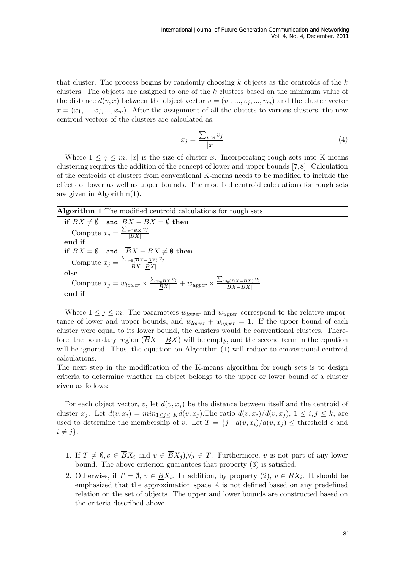that cluster. The process begins by randomly choosing  $k$  objects as the centroids of the  $k$ clusters. The objects are assigned to one of the k clusters based on the minimum value of the distance  $d(v, x)$  between the object vector  $v = (v_1, ..., v_j, ..., v_m)$  and the cluster vector  $x = (x_1, ..., x_j, ..., x_m)$ . After the assignment of all the objects to various clusters, the new centroid vectors of the clusters are calculated as:

$$
x_j = \frac{\sum_{v \in x} v_j}{|x|} \tag{4}
$$

Where  $1 \leq j \leq m$ , |x| is the size of cluster x. Incorporating rough sets into K-means clustering requires the addition of the concept of lower and upper bounds [7,8]. Calculation of the centroids of clusters from conventional K-means needs to be modified to include the effects of lower as well as upper bounds. The modified centroid calculations for rough sets are given in Algorithm(1).

| <b>Algorithm 1</b> The modified centroid calculations for rough sets                                                                                    |
|---------------------------------------------------------------------------------------------------------------------------------------------------------|
| if $BX \neq \emptyset$ and $\overline{B}X - BX = \emptyset$ then                                                                                        |
| Compute $x_j = \frac{\sum_{v \in BX} v_j}{ BX }$                                                                                                        |
| end if                                                                                                                                                  |
| if $\underline{BX} = \emptyset$ and $\overline{BX} - \underline{BX} \neq \emptyset$ then                                                                |
| Compute $x_j = \frac{\sum_{v \in (\overline{B}X - \underline{B}X)} v_j}{ \overline{B}X - \overline{B}X }$                                               |
| else                                                                                                                                                    |
| Compute $x_j = w_{lower} \times \frac{\sum_{v \in BX} v_j}{ BX } + w_{upper} \times \frac{\sum_{v \in (\overline{BX} - BX)} v_j}{ \overline{BX} - BX }$ |
| end if                                                                                                                                                  |

Where  $1 \leq j \leq m$ . The parameters  $w_{lower}$  and  $w_{upper}$  correspond to the relative importance of lower and upper bounds, and  $w_{lower} + w_{upper} = 1$ . If the upper bound of each cluster were equal to its lower bound, the clusters would be conventional clusters. Therefore, the boundary region  $(BX - BX)$  will be empty, and the second term in the equation will be ignored. Thus, the equation on Algorithm  $(1)$  will reduce to conventional centroid calculations.

The next step in the modification of the K-means algorithm for rough sets is to design criteria to determine whether an object belongs to the upper or lower bound of a cluster given as follows:

For each object vector, v, let  $d(v, x_i)$  be the distance between itself and the centroid of cluster  $x_j$ . Let  $d(v, x_i) = min_{1 \leq j \leq K} d(v, x_j)$ . The ratio  $d(v, x_j)/d(v, x_j)$ ,  $1 \leq i, j \leq k$ , are used to determine the membership of v. Let  $T = \{j : d(v, x_i)/d(v, x_j) \leq \text{threshold } \epsilon \text{ and }$  $i \neq j$ .

- 1. If  $T \neq \emptyset$ ,  $v \in \overline{B}X_i$  and  $v \in \overline{B}X_i$ ,  $\forall j \in T$ . Furthermore, v is not part of any lower bound. The above criterion guarantees that property (3) is satisfied.
- 2. Otherwise, if  $T = \emptyset$ ,  $v \in \underline{B}X_i$ . In addition, by property  $(2)$ ,  $v \in BX_i$ . It should be emphasized that the approximation space  $A$  is not defined based on any predefined relation on the set of objects. The upper and lower bounds are constructed based on the criteria described above.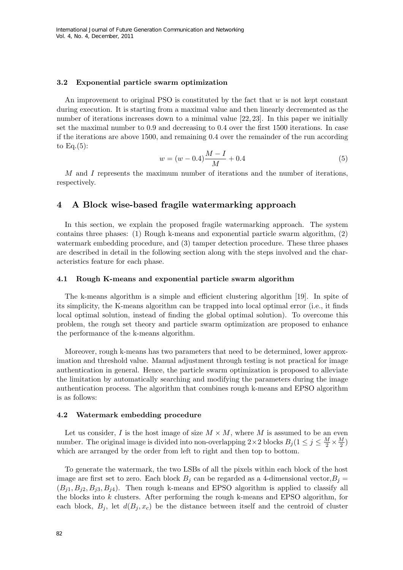#### 3.2 Exponential particle swarm optimization

An improvement to original PSO is constituted by the fact that  $w$  is not kept constant during execution. It is starting from a maximal value and then linearly decremented as the number of iterations increases down to a minimal value [22, 23]. In this paper we initially set the maximal number to 0.9 and decreasing to 0.4 over the first 1500 iterations. In case if the iterations are above 1500, and remaining 0.4 over the remainder of the run according to  $\text{Eq.}(5)$ :

$$
w = (w - 0.4)\frac{M - I}{M} + 0.4\tag{5}
$$

M and I represents the maximum number of iterations and the number of iterations, respectively.

### 4 A Block wise-based fragile watermarking approach

In this section, we explain the proposed fragile watermarking approach. The system contains three phases: (1) Rough k-means and exponential particle swarm algorithm, (2) watermark embedding procedure, and (3) tamper detection procedure. These three phases are described in detail in the following section along with the steps involved and the characteristics feature for each phase.

#### 4.1 Rough K-means and exponential particle swarm algorithm

The k-means algorithm is a simple and efficient clustering algorithm [19]. In spite of its simplicity, the K-means algorithm can be trapped into local optimal error (i.e., it finds local optimal solution, instead of finding the global optimal solution). To overcome this problem, the rough set theory and particle swarm optimization are proposed to enhance the performance of the k-means algorithm.

Moreover, rough k-means has two parameters that need to be determined, lower approximation and threshold value. Manual adjustment through testing is not practical for image authentication in general. Hence, the particle swarm optimization is proposed to alleviate the limitation by automatically searching and modifying the parameters during the image authentication process. The algorithm that combines rough k-means and EPSO algorithm is as follows:

#### 4.2 Watermark embedding procedure

Let us consider, I is the host image of size  $M \times M$ , where M is assumed to be an even number. The original image is divided into non-overlapping  $2 \times 2$  blocks  $B_j (1 \leq j \leq \frac{M}{2} \times \frac{M}{2})$  $\frac{M}{2}$ which are arranged by the order from left to right and then top to bottom.

To generate the watermark, the two LSBs of all the pixels within each block of the host image are first set to zero. Each block  $B_j$  can be regarded as a 4-dimensional vector,  $B_j =$  $(B_{j1}, B_{j2}, B_{j3}, B_{j4})$ . Then rough k-means and EPSO algorithm is applied to classify all the blocks into k clusters. After performing the rough k-means and EPSO algorithm, for each block,  $B_i$ , let  $d(B_i, x_c)$  be the distance between itself and the centroid of cluster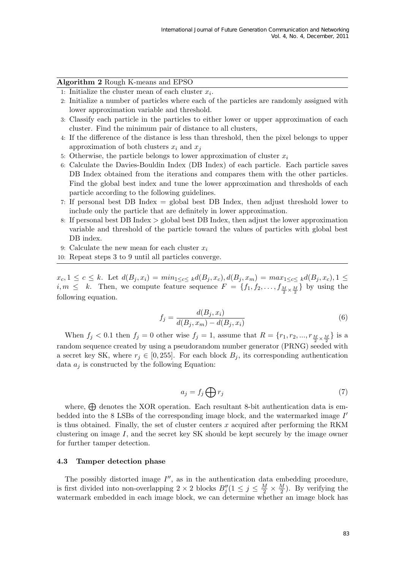#### Algorithm 2 Rough K-means and EPSO

- 1: Initialize the cluster mean of each cluster  $x_i$ .
- 2: Initialize a number of particles where each of the particles are randomly assigned with lower approximation variable and threshold.
- 3: Classify each particle in the particles to either lower or upper approximation of each cluster. Find the minimum pair of distance to all clusters,
- 4: If the difference of the distance is less than threshold, then the pixel belongs to upper approximation of both clusters  $x_i$  and  $x_j$
- 5: Otherwise, the particle belongs to lower approximation of cluster  $x_i$
- 6: Calculate the Davies-Bouldin Index (DB Index) of each particle. Each particle saves DB Index obtained from the iterations and compares them with the other particles. Find the global best index and tune the lower approximation and thresholds of each particle according to the following guidelines.
- 7: If personal best DB Index = global best DB Index, then adjust threshold lower to include only the particle that are definitely in lower approximation.
- 8: If personal best DB Index  $>$  global best DB Index, then adjust the lower approximation variable and threshold of the particle toward the values of particles with global best DB index.
- 9: Calculate the new mean for each cluster  $x_i$
- 10: Repeat steps 3 to 9 until all particles converge.

 $x_c, 1 \leq c \leq k$ . Let  $d(B_j, x_i) = min_{1 \leq c \leq k} d(B_j, x_c), d(B_j, x_m) = max_{1 \leq c \leq k} d(B_j, x_c), 1 \leq k$  $i, m \leq k$ . Then, we compute feature sequence  $F = \{f_1, f_2, \ldots, f_{\frac{M}{2} \times \frac{M}{2}}\}$  by using the following equation.

$$
f_j = \frac{d(B_j, x_i)}{d(B_j, x_m) - d(B_j, x_i)}
$$
(6)

When  $f_j < 0.1$  then  $f_j = 0$  other wise  $f_j = 1$ , assume that  $R = \{r_1, r_2, ..., r_{\frac{M}{2} \times \frac{M}{2}}\}$  is a random sequence created by using a pseudorandom number generator (PRNG) seeded with a secret key SK, where  $r_j \in [0, 255]$ . For each block  $B_j$ , its corresponding authentication data  $a_j$  is constructed by the following Equation:

$$
a_j = f_j \bigoplus r_j \tag{7}
$$

where,  $\bigoplus$  denotes the XOR operation. Each resultant 8-bit authentication data is embedded into the 8 LSBs of the corresponding image block, and the watermarked image  $I'$ is thus obtained. Finally, the set of cluster centers  $x$  acquired after performing the RKM clustering on image I, and the secret key SK should be kept securely by the image owner for further tamper detection.

#### 4.3 Tamper detection phase

The possibly distorted image  $I''$ , as in the authentication data embedding procedure, is first divided into non-overlapping  $2 \times 2$  blocks  $B''_j(1 \leq j \leq \frac{M}{2} \times \frac{M}{2})$  $\frac{M}{2}$ ). By verifying the watermark embedded in each image block, we can determine whether an image block has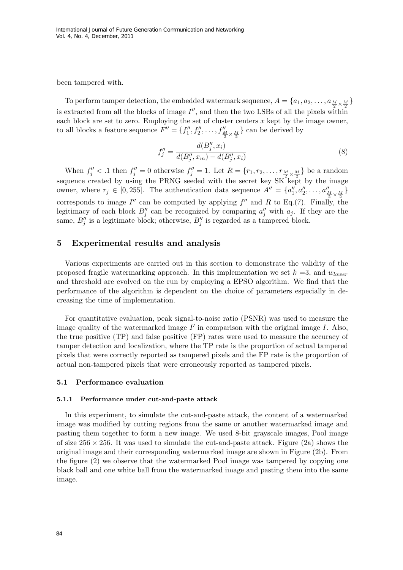been tampered with.

To perform tamper detection, the embedded watermark sequence,  $A = \{a_1, a_2, \ldots, a_{\frac{M}{2} \times \frac{M}{2}}\}$ is extracted from all the blocks of image  $I''$ , and then the two LSBs of all the pixels within each block are set to zero. Employing the set of cluster centers  $x$  kept by the image owner, to all blocks a feature sequence  $F'' = \{f''_1, f''_2, \ldots, f''_{\frac{M}{2} \times \frac{M}{2}}\}$  can be derived by

$$
f''_j = \frac{d(B''_j, x_i)}{d(B''_j, x_m) - d(B''_j, x_i)}
$$
(8)

When  $f''_j < 0$  then  $f''_j = 0$  otherwise  $f''_j = 1$ . Let  $R = \{r_1, r_2, \ldots, r_{\frac{M}{2} \times \frac{M}{2}}\}$  be a random sequence created by using the PRNG seeded with the secret key SK kept by the image owner, where  $r_j \in [0, 255]$ . The authentication data sequence  $A'' = \{a''_1, a''_2, \ldots, a''_{\frac{M}{2} \times \frac{M}{2}}\}$ corresponds to image I'' can be computed by applying  $f''$  and R to Eq.(7). Finally, the legitimacy of each block  $B''_j$  can be recognized by comparing  $a''_j$  with  $a_j$ . If they are the same,  $B''_j$  is a legitimate block; otherwise,  $B''_j$  is regarded as a tampered block.

### 5 Experimental results and analysis

Various experiments are carried out in this section to demonstrate the validity of the proposed fragile watermarking approach. In this implementation we set  $k = 3$ , and  $w_{lower}$ and threshold are evolved on the run by employing a EPSO algorithm. We find that the performance of the algorithm is dependent on the choice of parameters especially in decreasing the time of implementation.

For quantitative evaluation, peak signal-to-noise ratio (PSNR) was used to measure the image quality of the watermarked image  $I'$  in comparison with the original image  $I$ . Also, the true positive (TP) and false positive (FP) rates were used to measure the accuracy of tamper detection and localization, where the TP rate is the proportion of actual tampered pixels that were correctly reported as tampered pixels and the FP rate is the proportion of actual non-tampered pixels that were erroneously reported as tampered pixels.

#### 5.1 Performance evaluation

#### 5.1.1 Performance under cut-and-paste attack

In this experiment, to simulate the cut-and-paste attack, the content of a watermarked image was modified by cutting regions from the same or another watermarked image and pasting them together to form a new image. We used 8-bit grayscale images, Pool image of size  $256 \times 256$ . It was used to simulate the cut-and-paste attack. Figure (2a) shows the original image and their corresponding watermarked image are shown in Figure (2b). From the figure (2) we observe that the watermarked Pool image was tampered by copying one black ball and one white ball from the watermarked image and pasting them into the same image.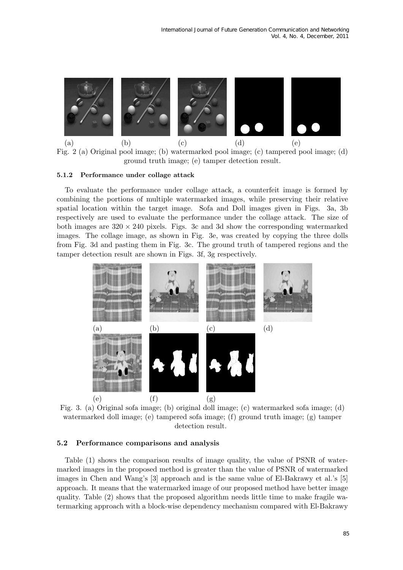

Fig. 2 (a) Original pool image; (b) watermarked pool image; (c) tampered pool image; (d) ground truth image; (e) tamper detection result.

#### 5.1.2 Performance under collage attack

To evaluate the performance under collage attack, a counterfeit image is formed by combining the portions of multiple watermarked images, while preserving their relative spatial location within the target image. Sofa and Doll images given in Figs. 3a, 3b respectively are used to evaluate the performance under the collage attack. The size of both images are  $320 \times 240$  pixels. Figs. 3c and 3d show the corresponding watermarked images. The collage image, as shown in Fig. 3e, was created by copying the three dolls from Fig. 3d and pasting them in Fig. 3c. The ground truth of tampered regions and the tamper detection result are shown in Figs. 3f, 3g respectively.



Fig. 3. (a) Original sofa image; (b) original doll image; (c) watermarked sofa image; (d) watermarked doll image; (e) tampered sofa image; (f) ground truth image; (g) tamper detection result.

### 5.2 Performance comparisons and analysis

Table (1) shows the comparison results of image quality, the value of PSNR of watermarked images in the proposed method is greater than the value of PSNR of watermarked images in Chen and Wang's [3] approach and is the same value of El-Bakrawy et al.'s [5] approach. It means that the watermarked image of our proposed method have better image quality. Table (2) shows that the proposed algorithm needs little time to make fragile watermarking approach with a block-wise dependency mechanism compared with El-Bakrawy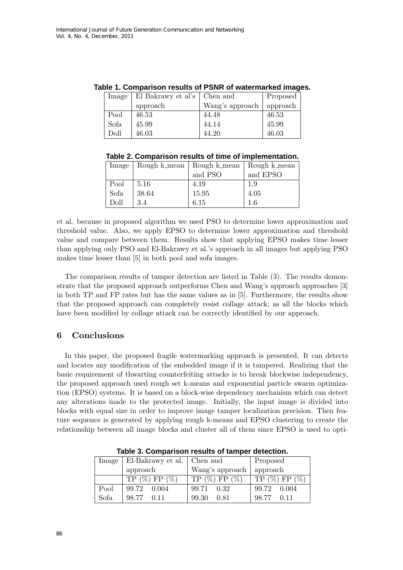| Image | El Bakrawy et al's   Chen and |                 | Proposed |
|-------|-------------------------------|-----------------|----------|
|       | approach                      | Wang's approach | approach |
| Pool  | 46.53                         | 44.48           | 46.53    |
| Sofa  | 45.99                         | 44.14           | 45.99    |
| Doll  | 46.03                         | 44.20           | 46.03    |

**Table 1. Comparison results of PSNR of watermarked images.**

| Image |       | Rough k_mean   Rough k_mean   Rough k_mean |          |
|-------|-------|--------------------------------------------|----------|
|       |       | and PSO                                    | and EPSO |
| Pool  | 5.16  | 4.19                                       | 1.9      |
| Sofa  | 38.64 | 15.95                                      | 4.05     |
| Doll  | 3.4   | 6.15                                       | 1.6      |

et al. because in proposed algorithm we used PSO to determine lower approximation and threshold value. Also, we apply EPSO to determine lower approximation and threshold value and compare between them. Results show that applying EPSO makes time lesser than applying only PSO and El-Bakrawy et al.'s approach in all images but applying PSO makes time lesser than [5] in both pool and sofa images.

The comparison results of tamper detection are listed in Table (3). The results demonstrate that the proposed approach outperforms Chen and Wang's approach approaches [3] in both TP and FP rates but has the same values as in [5]. Furthermore, the results show that the proposed approach can completely resist collage attack, as all the blocks which have been modified by collage attack can be correctly identified by our approach.

## 6 Conclusions

In this paper, the proposed fragile watermarking approach is presented. It can detects and locates any modification of the embedded image if it is tampered. Realizing that the basic requirement of thwarting counterfeiting attacks is to break blockwise independency, the proposed approach used rough set k-means and exponential particle swarm optimization (EPSO) systems. It is based on a block-wise dependency mechanism which can detect any alterations made to the protected image. Initially, the input image is divided into blocks with equal size in order to improve image tamper localization precision. Then feature sequence is generated by applying rough k-means and EPSO clustering to create the relationship between all image blocks and cluster all of them since EPSO is used to opti-

| Image | El-Bakrawy et al.   Chen and |                   | Proposed        |  |
|-------|------------------------------|-------------------|-----------------|--|
|       | approach                     | Wang's approach   | approach        |  |
|       | $TP(\%) FP(\%)$              | $TP (\%) FP (\%)$ | $TP(\%) FP(\%)$ |  |
| Pool  | 99.72<br>0.004               | 99.71<br>0.32     | 99.72<br>0.004  |  |
| Sofa  | 98.77<br>0.11                | 99.30<br>0.81     | 98.77<br>0.11   |  |

**Table 3. Comparison results of tamper detection.**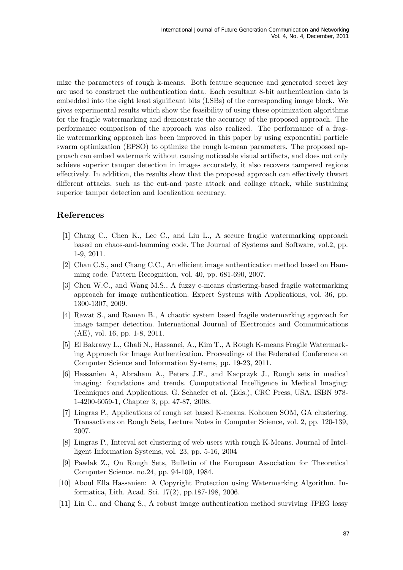mize the parameters of rough k-means. Both feature sequence and generated secret key are used to construct the authentication data. Each resultant 8-bit authentication data is embedded into the eight least significant bits (LSBs) of the corresponding image block. We gives experimental results which show the feasibility of using these optimization algorithms for the fragile watermarking and demonstrate the accuracy of the proposed approach. The performance comparison of the approach was also realized. The performance of a fragile watermarking approach has been improved in this paper by using exponential particle swarm optimization (EPSO) to optimize the rough k-mean parameters. The proposed approach can embed watermark without causing noticeable visual artifacts, and does not only achieve superior tamper detection in images accurately, it also recovers tampered regions effectively. In addition, the results show that the proposed approach can effectively thwart different attacks, such as the cut-and paste attack and collage attack, while sustaining superior tamper detection and localization accuracy.

# References

- [1] Chang C., Chen K., Lee C., and Liu L., A secure fragile watermarking approach based on chaos-and-hamming code. The Journal of Systems and Software, vol.2, pp. 1-9, 2011.
- [2] Chan C.S., and Chang C.C., An efficient image authentication method based on Hamming code. Pattern Recognition, vol. 40, pp. 681-690, 2007.
- [3] Chen W.C., and Wang M.S., A fuzzy c-means clustering-based fragile watermarking approach for image authentication. Expert Systems with Applications, vol. 36, pp. 1300-1307, 2009.
- [4] Rawat S., and Raman B., A chaotic system based fragile watermarking approach for image tamper detection. International Journal of Electronics and Communications (AE), vol. 16, pp. 1-8, 2011.
- [5] El Bakrawy L., Ghali N., Hassanei, A., Kim T., A Rough K-means Fragile Watermarking Approach for Image Authentication. Proceedings of the Federated Conference on Computer Science and Information Systems, pp. 19-23, 2011.
- [6] Hassanien A, Abraham A., Peters J.F., and Kacprzyk J., Rough sets in medical imaging: foundations and trends. Computational Intelligence in Medical Imaging: Techniques and Applications, G. Schaefer et al. (Eds.), CRC Press, USA, ISBN 978- 1-4200-6059-1, Chapter 3, pp. 47-87, 2008.
- [7] Lingras P., Applications of rough set based K-means. Kohonen SOM, GA clustering. Transactions on Rough Sets, Lecture Notes in Computer Science, vol. 2, pp. 120-139, 2007.
- [8] Lingras P., Interval set clustering of web users with rough K-Means. Journal of Intelligent Information Systems, vol. 23, pp. 5-16, 2004
- [9] Pawlak Z., On Rough Sets, Bulletin of the European Association for Theoretical Computer Science. no.24, pp. 94-109, 1984.
- [10] Aboul Ella Hassanien: A Copyright Protection using Watermarking Algorithm. Informatica, Lith. Acad. Sci. 17(2), pp.187-198, 2006.
- [11] Lin C., and Chang S., A robust image authentication method surviving JPEG lossy